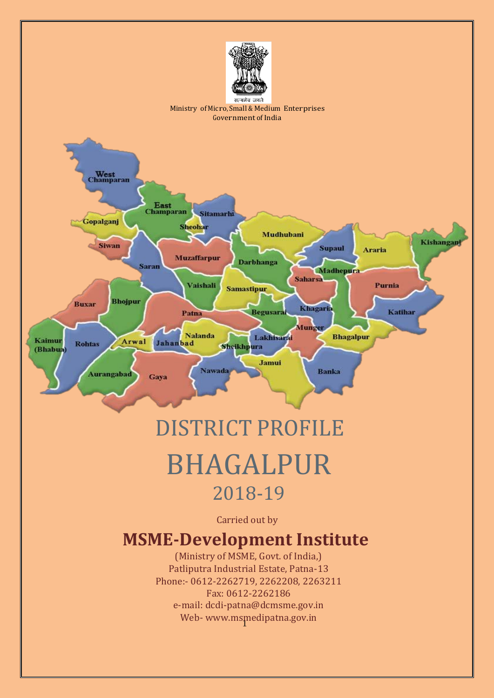

# DISTRICT PROFILE BHAGALPUR 2018-19

Carried out by

# **MSME-Development Institute**

1 Web- [www.msmedipatna.gov.in](http://www.msmedipatna.gov.in/)(Ministry of MSME, Govt. of India,) Patliputra Industrial Estate, Patna-13 Phone:- 0612-2262719, 2262208, 2263211 Fax: 0612-2262186 e-mail: [dcdi-patna@dcmsme.gov.in](mailto:dcdi-patna@dcmsme.gov.in)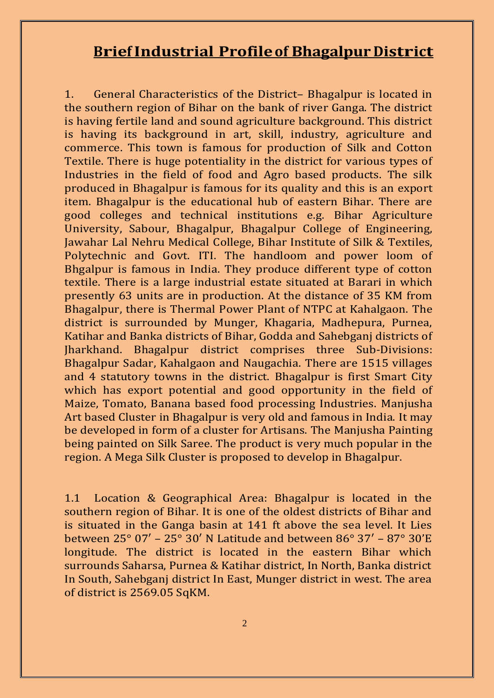# **BriefIndustrial Profileof Bhagalpur District**

1. General Characteristics of the District– Bhagalpur is located in the southern region of Bihar on the bank of river Ganga. The district is having fertile land and sound agriculture background. This district is having its background in art, skill, industry, agriculture and commerce. This town is famous for production of Silk and Cotton Textile. There is huge potentiality in the district for various types of Industries in the field of food and Agro based products. The silk produced in Bhagalpur is famous for its quality and this is an export item. Bhagalpur is the educational hub of eastern Bihar. There are good colleges and technical institutions e.g. Bihar Agriculture University, Sabour, Bhagalpur, Bhagalpur College of Engineering, Jawahar Lal Nehru Medical College, Bihar Institute of Silk & Textiles, Polytechnic and Govt. ITI. The handloom and power loom of Bhgalpur is famous in India. They produce different type of cotton textile. There is a large industrial estate situated at Barari in which presently 63 units are in production. At the distance of 35 KM from Bhagalpur, there is Thermal Power Plant of NTPC at Kahalgaon. The district is surrounded by Munger, Khagaria, Madhepura, Purnea, Katihar and Banka districts of Bihar, Godda and Sahebganj districts of Jharkhand. Bhagalpur district comprises three Sub-Divisions: Bhagalpur Sadar, Kahalgaon and Naugachia. There are 1515 villages and 4 statutory towns in the district. Bhagalpur is first Smart City which has export potential and good opportunity in the field of Maize, Tomato, Banana based food processing Industries. Manjusha Art based Cluster in Bhagalpur is very old and famous in India. It may be developed in form of a cluster for Artisans. The Manjusha Painting being painted on Silk Saree. The product is very much popular in the region. A Mega Silk Cluster is proposed to develop in Bhagalpur.

1.1 Location & Geographical Area: Bhagalpur is located in the southern region of Bihar. It is one of the oldest districts of Bihar and is situated in the Ganga basin at 141 ft above the sea level. It Lies between 25° 07′ – 25° 30′ N Latitude and between 86° 37′ – 87° 30'E longitude. The district is located in the eastern Bihar which surrounds Saharsa, Purnea & Katihar district, In North, Banka district In South, Sahebganj district In East, Munger district in west. The area of district is 2569.05 SqKM.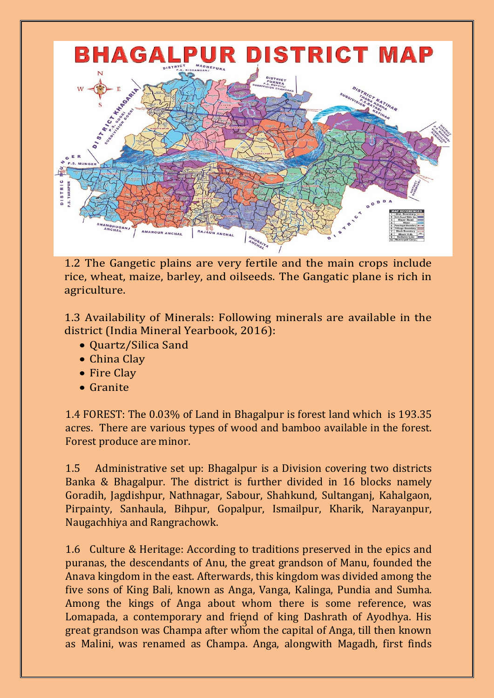

1.2 The Gangetic plains are very fertile and the main crops include rice, wheat, maize, barley, and oilseeds. The Gangatic plane is rich in agriculture.

1.3 Availability of Minerals: Following minerals are available in the district (India Mineral Yearbook, 2016):

- Quartz/Silica Sand
- China Clay
- Fire Clay
- Granite

1.4 FOREST: The 0.03% of Land in Bhagalpur is forest land which is 193.35 acres. There are various types of wood and bamboo available in the forest. Forest produce are minor.

1.5 Administrative set up: Bhagalpur is a Division covering two districts Banka & Bhagalpur. The district is further divided in 16 blocks namely Goradih, Jagdishpur, Nathnagar, Sabour, Shahkund, Sultanganj, Kahalgaon, Pirpainty, Sanhaula, Bihpur, Gopalpur, Ismailpur, Kharik, Narayanpur, Naugachhiya and Rangrachowk.

3 great grandson was Champa after whom the capital of Anga, till then known 1.6 Culture & Heritage: According to traditions preserved in the epics and puranas, the descendants of Anu, the great grandson of Manu, founded the Anava kingdom in the east. Afterwards, this kingdom was divided among the five sons of King Bali, known as Anga, Vanga, Kalinga, Pundia and Sumha. Among the kings of Anga about whom there is some reference, was Lomapada, a contemporary and friend of king Dashrath of Ayodhya. His as Malini, was renamed as Champa. Anga, alongwith Magadh, first finds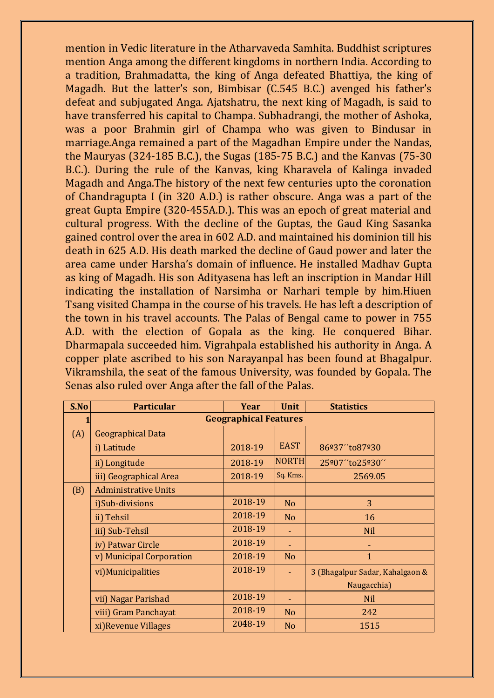mention in Vedic literature in the Atharvaveda Samhita. Buddhist scriptures mention Anga among the different kingdoms in northern India. According to a tradition, Brahmadatta, the king of Anga defeated Bhattiya, the king of Magadh. But the latter's son, Bimbisar (C.545 B.C.) avenged his father's defeat and subjugated Anga. Ajatshatru, the next king of Magadh, is said to have transferred his capital to Champa. Subhadrangi, the mother of Ashoka, was a poor Brahmin girl of Champa who was given to Bindusar in marriage.Anga remained a part of the Magadhan Empire under the Nandas, the Mauryas (324-185 B.C.), the Sugas (185-75 B.C.) and the Kanvas (75-30 B.C.). During the rule of the Kanvas, king Kharavela of Kalinga invaded Magadh and Anga.The history of the next few centuries upto the coronation of Chandragupta I (in 320 A.D.) is rather obscure. Anga was a part of the great Gupta Empire (320-455A.D.). This was an epoch of great material and cultural progress. With the decline of the Guptas, the Gaud King Sasanka gained control over the area in 602 A.D. and maintained his dominion till his death in 625 A.D. His death marked the decline of Gaud power and later the area came under Harsha's domain of influence. He installed Madhav Gupta as king of Magadh. His son Adityasena has left an inscription in Mandar Hill indicating the installation of Narsimha or Narhari temple by him.Hiuen Tsang visited Champa in the course of his travels. He has left a description of the town in his travel accounts. The Palas of Bengal came to power in 755 A.D. with the election of Gopala as the king. He conquered Bihar. Dharmapala succeeded him. Vigrahpala established his authority in Anga. A copper plate ascribed to his son Narayanpal has been found at Bhagalpur. Vikramshila, the seat of the famous University, was founded by Gopala. The Senas also ruled over Anga after the fall of the Palas.

| S.No | <b>Particular</b>           | Year                         | <b>Unit</b>    | <b>Statistics</b>               |
|------|-----------------------------|------------------------------|----------------|---------------------------------|
|      |                             | <b>Geographical Features</b> |                |                                 |
| (A)  | <b>Geographical Data</b>    |                              |                |                                 |
|      | i) Latitude                 | 2018-19                      | <b>EAST</b>    | 86º37"to87º30                   |
|      | ii) Longitude               | 2018-19                      | <b>NORTH</b>   | 25°07" to 25°30"                |
|      | iii) Geographical Area      | 2018-19                      | Sq. Kms.       | 2569.05                         |
| (B)  | <b>Administrative Units</b> |                              |                |                                 |
|      | i)Sub-divisions             | 2018-19                      | N <sub>o</sub> | 3                               |
|      | ii) Tehsil                  | 2018-19                      | No             | 16                              |
|      | iii) Sub-Tehsil             | 2018-19                      |                | <b>Nil</b>                      |
|      | iv) Patwar Circle           | 2018-19                      |                |                                 |
|      | v) Municipal Corporation    | 2018-19                      | N <sub>o</sub> | $\mathbf{1}$                    |
|      | vi) Municipalities          | 2018-19                      |                | 3 (Bhagalpur Sadar, Kahalgaon & |
|      |                             |                              |                | Naugacchia)                     |
|      | vii) Nagar Parishad         | 2018-19                      |                | <b>Nil</b>                      |
|      | viii) Gram Panchayat        | 2018-19                      | N <sub>o</sub> | 242                             |
|      | xi) Revenue Villages        | 2048-19                      | N <sub>o</sub> | 1515                            |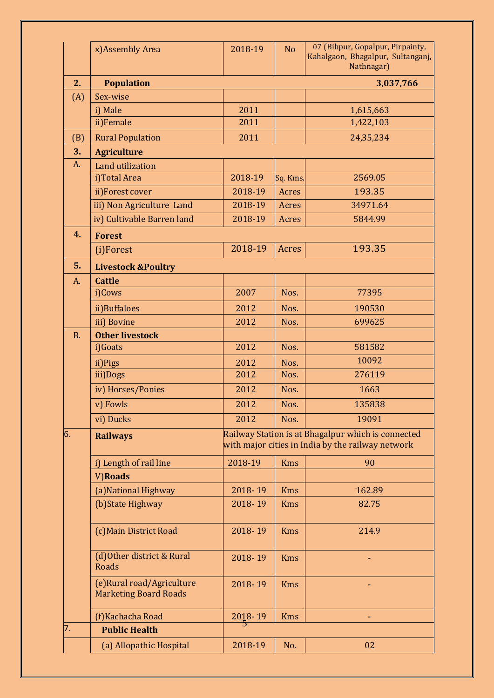|           | x)Assembly Area                                            | 2018-19             | N <sub>o</sub> | 07 (Bihpur, Gopalpur, Pirpainty,<br>Kahalgaon, Bhagalpur, Sultanganj,<br>Nathnagar)                     |
|-----------|------------------------------------------------------------|---------------------|----------------|---------------------------------------------------------------------------------------------------------|
| 2.        | <b>Population</b>                                          |                     |                | 3,037,766                                                                                               |
| (A)       | Sex-wise                                                   |                     |                |                                                                                                         |
|           | i) Male                                                    | 2011                |                | 1,615,663                                                                                               |
|           | ii)Female                                                  | 2011                |                | 1,422,103                                                                                               |
| (B)       | <b>Rural Population</b>                                    | 2011                |                | 24,35,234                                                                                               |
| 3.        | <b>Agriculture</b>                                         |                     |                |                                                                                                         |
| A.        | Land utilization                                           |                     |                |                                                                                                         |
|           | i)Total Area                                               | 2018-19             | Sq. Kms.       | 2569.05                                                                                                 |
|           | ii)Forest cover                                            | 2018-19             | Acres          | 193.35                                                                                                  |
|           | iii) Non Agriculture Land                                  | 2018-19             | Acres          | 34971.64                                                                                                |
|           | iv) Cultivable Barren land                                 | 2018-19             | Acres          | 5844.99                                                                                                 |
| 4.        | <b>Forest</b>                                              |                     |                |                                                                                                         |
|           | (i)Forest                                                  | 2018-19             | Acres          | 193.35                                                                                                  |
| 5.        | <b>Livestock &amp;Poultry</b>                              |                     |                |                                                                                                         |
| A.        | <b>Cattle</b>                                              |                     |                |                                                                                                         |
|           | i)Cows                                                     | 2007                | Nos.           | 77395                                                                                                   |
|           | ii)Buffaloes                                               | 2012                | Nos.           | 190530                                                                                                  |
|           | iii) Bovine                                                | 2012                | Nos.           | 699625                                                                                                  |
| <b>B.</b> | <b>Other livestock</b>                                     |                     |                |                                                                                                         |
|           | i)Goats                                                    | 2012                | Nos.           | 581582                                                                                                  |
|           | ii)Pigs                                                    | 2012                | Nos.           | 10092                                                                                                   |
|           | iii)Dogs                                                   | 2012                | Nos.           | 276119                                                                                                  |
|           | iv) Horses/Ponies                                          | 2012                | Nos.           | 1663                                                                                                    |
|           | v) Fowls                                                   | 2012                | Nos.           | 135838                                                                                                  |
|           | vi) Ducks                                                  | 2012                | Nos.           | 19091                                                                                                   |
| 6.        | <b>Railways</b>                                            |                     |                | Railway Station is at Bhagalpur which is connected<br>with major cities in India by the railway network |
|           | i) Length of rail line                                     | 2018-19             | <b>Kms</b>     | 90                                                                                                      |
|           | V)Roads                                                    |                     |                |                                                                                                         |
|           | (a) National Highway                                       | 2018-19             | <b>Kms</b>     | 162.89                                                                                                  |
|           | (b) State Highway                                          | 2018-19             | <b>Kms</b>     | 82.75                                                                                                   |
|           | (c) Main District Road                                     | 2018-19             | <b>Kms</b>     | 214.9                                                                                                   |
|           | (d) Other district & Rural<br><b>Roads</b>                 | 2018-19             | <b>Kms</b>     |                                                                                                         |
|           | (e) Rural road/Agriculture<br><b>Marketing Board Roads</b> | 2018-19             | <b>Kms</b>     |                                                                                                         |
|           | (f)Kachacha Road                                           | $\frac{2018-19}{5}$ | <b>Kms</b>     |                                                                                                         |
| 7.        | <b>Public Health</b>                                       |                     |                |                                                                                                         |
|           | (a) Allopathic Hospital                                    | 2018-19             | No.            | 02                                                                                                      |
|           |                                                            |                     |                |                                                                                                         |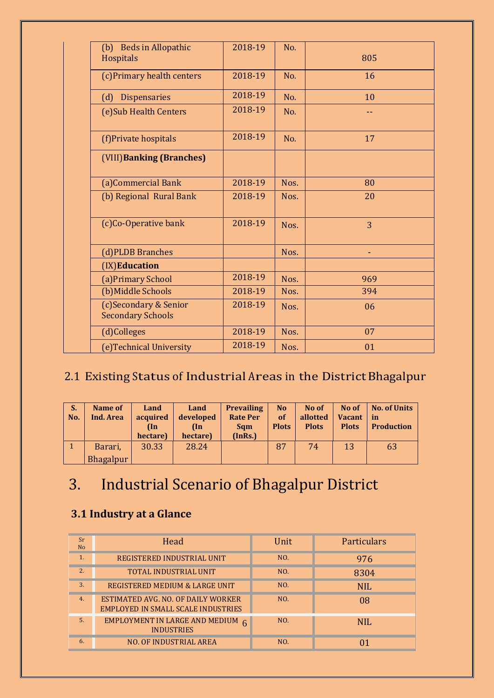| (b) Beds in Allopathic<br>Hospitals               | 2018-19 | No.  | 805            |
|---------------------------------------------------|---------|------|----------------|
| (c) Primary health centers                        | 2018-19 | No.  | 16             |
| Dispensaries<br>(d)                               | 2018-19 | No.  | 10             |
| (e) Sub Health Centers                            | 2018-19 | No.  | --             |
| (f)Private hospitals                              | 2018-19 | No.  | 17             |
| (VIII) Banking (Branches)                         |         |      |                |
| (a)Commercial Bank                                | 2018-19 | Nos. | 80             |
| (b) Regional Rural Bank                           | 2018-19 | Nos. | 20             |
| (c)Co-Operative bank                              | 2018-19 | Nos. | $\overline{3}$ |
| (d)PLDB Branches                                  |         | Nos. |                |
| (IX)Education                                     |         |      |                |
| (a) Primary School                                | 2018-19 | Nos. | 969            |
| (b) Middle Schools                                | 2018-19 | Nos. | 394            |
| (c)Secondary & Senior<br><b>Secondary Schools</b> | 2018-19 | Nos. | 06             |
| (d)Colleges                                       | 2018-19 | Nos. | 07             |
| (e)Technical University                           | 2018-19 | Nos. | 01             |
|                                                   |         |      |                |

# 2.1 Existing Status of Industrial Areas in the District Bhagalpur

| S.<br>No. | Name of<br>Ind. Area | Land<br>acquired<br>(In<br>hectare) | Land<br>developed<br>$(\ln$<br>hectare) | <b>Prevailing</b><br><b>Rate Per</b><br><b>Sqm</b><br>(InRs.) | N <sub>o</sub><br>of<br><b>Plots</b> | No of<br>allotted<br><b>Plots</b> | No of<br><b>Vacant</b><br><b>Plots</b> | <b>No. of Units</b><br>in<br><b>Production</b> |
|-----------|----------------------|-------------------------------------|-----------------------------------------|---------------------------------------------------------------|--------------------------------------|-----------------------------------|----------------------------------------|------------------------------------------------|
|           | Barari,              | 30.33                               | 28.24                                   |                                                               | 87                                   | 74                                | 13                                     | 63                                             |
|           | <b>Bhagalpur</b>     |                                     |                                         |                                                               |                                      |                                   |                                        |                                                |

# 3. Industrial Scenario of Bhagalpur District

# **3.1 Industry at a Glance**

| Sr<br><b>No</b> | Head                                                                            | Unit | Particulars |
|-----------------|---------------------------------------------------------------------------------|------|-------------|
| 1.              | REGISTERED INDUSTRIAL UNIT                                                      | NO.  | 976         |
| 2.              | <b>TOTAL INDUSTRIAL UNIT</b>                                                    | NO.  | 8304        |
| 3.              | REGISTERED MEDIUM & LARGE UNIT                                                  | NO.  | <b>NIL</b>  |
| 4.              | ESTIMATED AVG. NO. OF DAILY WORKER<br><b>EMPLOYED IN SMALL SCALE INDUSTRIES</b> | NO.  | 08          |
| 5.              | EMPLOYMENT IN LARGE AND MEDIUM $6$<br><b>INDUSTRIES</b>                         | NO.  | <b>NIL</b>  |
| 6.              | <b>NO. OF INDUSTRIAL AREA</b>                                                   | NO.  |             |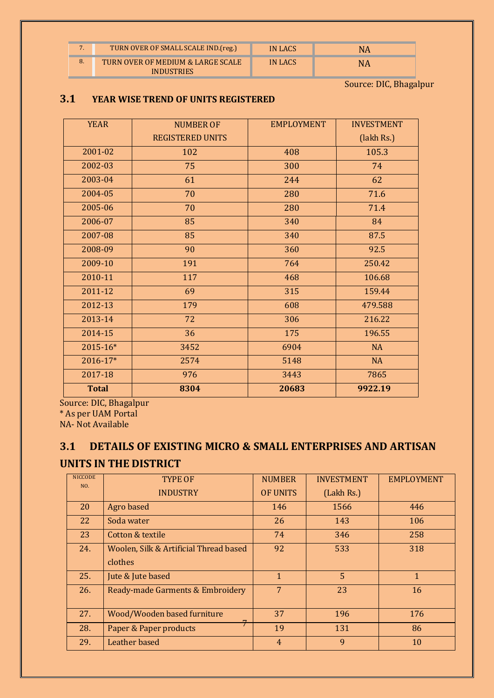| $\overline{ }$ | TURN OVER OF SMALL SCALE IND. (reg.)                   | IN LACS | NΑ |
|----------------|--------------------------------------------------------|---------|----|
| 8.             | TURN OVER OF MEDIUM & LARGE SCALE<br><b>INDUSTRIES</b> | IN LACS | NΑ |

Source: DIC, Bhagalpur

#### **3.1 YEAR WISE TREND OF UNITS REGISTERED**

| <b>YEAR</b>  | <b>NUMBER OF</b>        | <b>EMPLOYMENT</b> | <b>INVESTMENT</b> |
|--------------|-------------------------|-------------------|-------------------|
|              | <b>REGISTERED UNITS</b> |                   | (lakh Rs.)        |
| 2001-02      | 102                     | 408               | 105.3             |
| 2002-03      | 75                      | 300               | 74                |
| 2003-04      | 61                      | 244               | 62                |
| 2004-05      | 70                      | 280               | 71.6              |
| 2005-06      | 70                      | 280               | 71.4              |
| 2006-07      | 85                      | 340               | 84                |
| 2007-08      | 85                      | 340               | 87.5              |
| 2008-09      | 90                      | 360               | 92.5              |
| 2009-10      | 191                     | 764               | 250.42            |
| 2010-11      | 117                     | 468               | 106.68            |
| 2011-12      | 69                      | 315               | 159.44            |
| 2012-13      | 179                     | 608               | 479.588           |
| 2013-14      | 72                      | 306               | 216.22            |
| 2014-15      | 36                      | 175               | 196.55            |
| 2015-16*     | 3452                    | 6904              | <b>NA</b>         |
| 2016-17*     | 2574                    | 5148              | <b>NA</b>         |
| 2017-18      | 976                     | 3443              | 7865              |
| <b>Total</b> | 8304                    | 20683             | 9922.19           |

Source: DIC, Bhagalpur

\* As per UAM Portal

NA- Not Available

#### **3.1 DETAILS OF EXISTING MICRO & SMALL ENTERPRISES AND ARTISAN**

#### **UNITS IN THE DISTRICT**

| <b>NICCODE</b> | <b>TYPE OF</b>                         | <b>NUMBER</b>   | <b>INVESTMENT</b> | <b>EMPLOYMENT</b> |
|----------------|----------------------------------------|-----------------|-------------------|-------------------|
| NO.            | <b>INDUSTRY</b>                        | <b>OF UNITS</b> | (Lakh Rs.)        |                   |
| 20             | Agro based                             | 146             | 1566              | 446               |
| 22             | Soda water                             | 26              | 143               | 106               |
| 23             | Cotton & textile                       | 74              | 346               | 258               |
| 24.            | Woolen, Silk & Artificial Thread based | 92              | 533               | 318               |
|                | clothes                                |                 |                   |                   |
| 25.            | Jute & Jute based                      | $\mathbf{1}$    | 5                 | $\mathbf{1}$      |
| 26.            | Ready-made Garments & Embroidery       | 7               | 23                | 16                |
| 27.            | Wood/Wooden based furniture            | 37              | 196               | 176               |
| 28.            | Paper & Paper products                 | 19              | 131               | 86                |
| 29.            | Leather based                          | $\overline{4}$  | 9                 | 10                |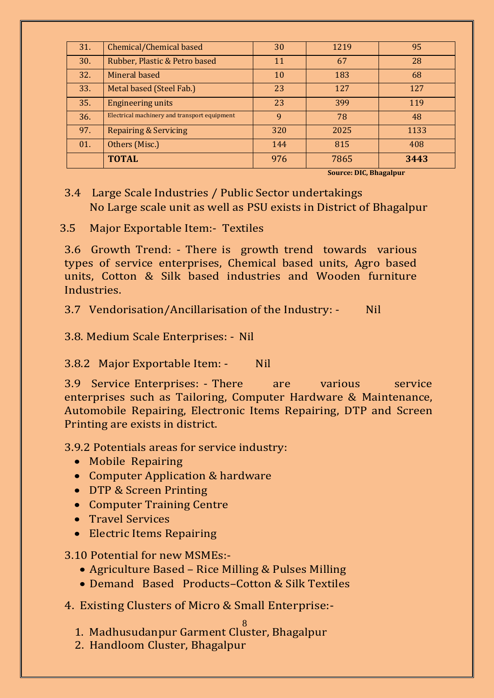| 31. | Chemical/Chemical based                      | 30           | 1219 | 95   |
|-----|----------------------------------------------|--------------|------|------|
| 30. | Rubber, Plastic & Petro based                | 11           | 67   | 28   |
| 32. | Mineral based                                | 10           | 183  | 68   |
| 33. | Metal based (Steel Fab.)                     | 23           | 127  | 127  |
| 35. | <b>Engineering units</b>                     | 23           | 399  | 119  |
| 36. | Electrical machinery and transport equipment | <sup>9</sup> | 78   | 48   |
| 97. | <b>Repairing &amp; Servicing</b>             | 320          | 2025 | 1133 |
| 01. | Others (Misc.)                               | 144          | 815  | 408  |
|     | <b>TOTAL</b>                                 | 976          | 7865 | 3443 |

**Source: DIC, Bhagalpur**

#### 3.4 Large Scale Industries / Public Sector undertakings No Large scale unit as well as PSU exists in District of Bhagalpur

3.5 Major Exportable Item:- Textiles

3.6 Growth Trend: - There is growth trend towards various types of service enterprises, Chemical based units, Agro based units, Cotton & Silk based industries and Wooden furniture **Industries** 

3.7 Vendorisation/Ancillarisation of the Industry: - Nil

3.8. Medium Scale Enterprises: - Nil

3.8.2 Major Exportable Item: - Nil

3.9 Service Enterprises: - There are various service enterprises such as Tailoring, Computer Hardware & Maintenance, Automobile Repairing, Electronic Items Repairing, DTP and Screen Printing are exists in district.

3.9.2 Potentials areas for service industry:

- Mobile Repairing
- Computer Application & hardware
- DTP & Screen Printing
- Computer Training Centre
- **•** Travel Services
- Electric Items Repairing

3.10 Potential for new MSMEs:-

- Agriculture Based Rice Milling & Pulses Milling
- Demand Based Products–Cotton & Silk Textiles
- 4. Existing Clusters of Micro & Small Enterprise:-

8 1. Madhusudanpur Garment Cluster, Bhagalpur

2. Handloom Cluster, Bhagalpur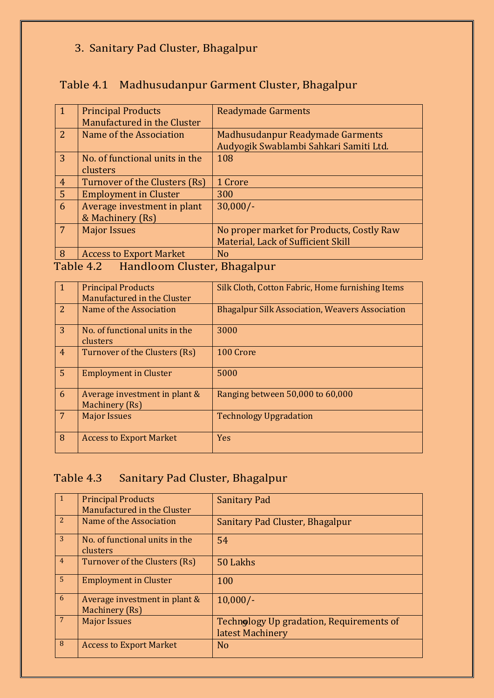# 3. Sanitary Pad Cluster, Bhagalpur

# Table 4.1 Madhusudanpur Garment Cluster, Bhagalpur

| <b>Principal Products</b>      | <b>Readymade Garments</b>                 |
|--------------------------------|-------------------------------------------|
| Manufactured in the Cluster    |                                           |
| Name of the Association        | Madhusudanpur Readymade Garments          |
|                                | Audyogik Swablambi Sahkari Samiti Ltd.    |
| No. of functional units in the | 108                                       |
| clusters                       |                                           |
| Turnover of the Clusters (Rs)  | 1 Crore                                   |
| <b>Employment in Cluster</b>   | 300                                       |
| Average investment in plant    | $30,000/-$                                |
| & Machinery (Rs)               |                                           |
| <b>Major Issues</b>            | No proper market for Products, Costly Raw |
|                                | Material, Lack of Sufficient Skill        |
| <b>Access to Export Market</b> | N <sub>o</sub>                            |
|                                |                                           |

### Table 4.2 Handloom Cluster, Bhagalpur

| $\mathbf{1}$   | <b>Principal Products</b><br>Manufactured in the Cluster | Silk Cloth, Cotton Fabric, Home furnishing Items       |
|----------------|----------------------------------------------------------|--------------------------------------------------------|
| 2              | Name of the Association                                  | <b>Bhagalpur Silk Association, Weavers Association</b> |
| $\overline{3}$ | No. of functional units in the<br>clusters               | 3000                                                   |
| $\overline{4}$ | Turnover of the Clusters (Rs)                            | 100 Crore                                              |
| 5 <sup>5</sup> | <b>Employment in Cluster</b>                             | 5000                                                   |
| 6              | Average investment in plant &<br>Machinery (Rs)          | Ranging between 50,000 to 60,000                       |
| 7              | <b>Major Issues</b>                                      | <b>Technology Upgradation</b>                          |
| 8              | <b>Access to Export Market</b>                           | <b>Yes</b>                                             |

# Table 4.3 Sanitary Pad Cluster, Bhagalpur

|                | <b>Principal Products</b><br>Manufactured in the Cluster | <b>Sanitary Pad</b>                                          |
|----------------|----------------------------------------------------------|--------------------------------------------------------------|
| 2              | Name of the Association                                  | Sanitary Pad Cluster, Bhagalpur                              |
| 3              | No. of functional units in the<br>clusters               | 54                                                           |
| $\overline{4}$ | Turnover of the Clusters (Rs)                            | 50 Lakhs                                                     |
| 5 <sup>1</sup> | <b>Employment in Cluster</b>                             | 100                                                          |
| 6              | Average investment in plant &<br>Machinery (Rs)          | $10,000/-$                                                   |
| 7              | <b>Major Issues</b>                                      | Technology Up gradation, Requirements of<br>latest Machinery |
| 8              | <b>Access to Export Market</b>                           | N <sub>o</sub>                                               |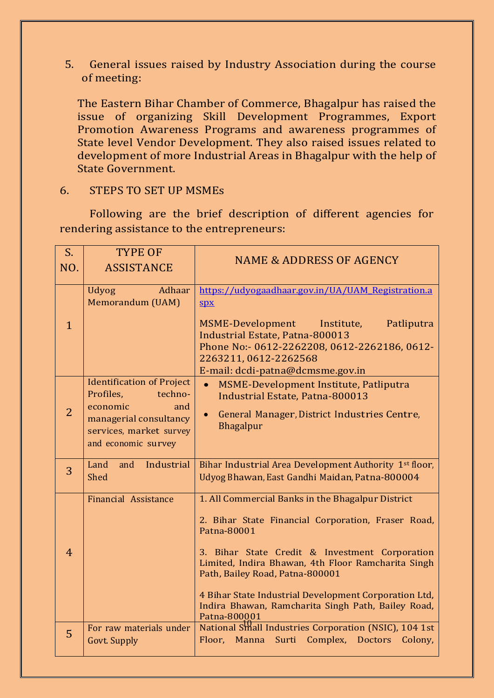5. General issues raised by Industry Association during the course of meeting:

The Eastern Bihar Chamber of Commerce, Bhagalpur has raised the issue of organizing Skill Development Programmes, Export Promotion Awareness Programs and awareness programmes of State level Vendor Development. They also raised issues related to development of more Industrial Areas in Bhagalpur with the help of State Government.

#### 6. STEPS TO SET UP MSMEs

Following are the brief description of different agencies for rendering assistance to the entrepreneurs:

| $S_{-}$        | <b>TYPE OF</b>                                                                                                                                          | <b>NAME &amp; ADDRESS OF AGENCY</b>                                                                                                                                                                                                                                                                                                                                                              |
|----------------|---------------------------------------------------------------------------------------------------------------------------------------------------------|--------------------------------------------------------------------------------------------------------------------------------------------------------------------------------------------------------------------------------------------------------------------------------------------------------------------------------------------------------------------------------------------------|
| NO.            | <b>ASSISTANCE</b>                                                                                                                                       |                                                                                                                                                                                                                                                                                                                                                                                                  |
| $\mathbf{1}$   | Adhaar<br><b>Udyog</b><br>Memorandum (UAM)                                                                                                              | https://udyogaadhaar.gov.in/UA/UAM_Registration.a<br>SDX<br>MSME-Development Institute,<br>Patliputra<br><b>Industrial Estate, Patna-800013</b><br>Phone No:- 0612-2262208, 0612-2262186, 0612-<br>2263211, 0612-2262568<br>E-mail: dcdi-patna@dcmsme.gov.in                                                                                                                                     |
| $\overline{2}$ | <b>Identification of Project</b><br>Profiles,<br>techno-<br>economic<br>and<br>managerial consultancy<br>services, market survey<br>and economic survey | MSME-Development Institute, Patliputra<br>$\bullet$<br><b>Industrial Estate, Patna-800013</b><br>General Manager, District Industries Centre,<br>$\bullet$<br><b>Bhagalpur</b>                                                                                                                                                                                                                   |
| 3              | Industrial<br>Land<br>and<br><b>Shed</b>                                                                                                                | Bihar Industrial Area Development Authority 1 <sup>st</sup> floor,<br>Udyog Bhawan, East Gandhi Maidan, Patna-800004                                                                                                                                                                                                                                                                             |
| $\overline{4}$ | Financial Assistance                                                                                                                                    | 1. All Commercial Banks in the Bhagalpur District<br>2. Bihar State Financial Corporation, Fraser Road,<br>Patna-80001<br>3. Bihar State Credit & Investment Corporation<br>Limited, Indira Bhawan, 4th Floor Ramcharita Singh<br>Path, Bailey Road, Patna-800001<br>4 Bihar State Industrial Development Corporation Ltd,<br>Indira Bhawan, Ramcharita Singh Path, Bailey Road,<br>Patna-800001 |
| 5              | For raw materials under<br>Govt. Supply                                                                                                                 | National Small Industries Corporation (NSIC), 104 1st<br>Floor, Manna Surti Complex, Doctors<br>Colony,                                                                                                                                                                                                                                                                                          |